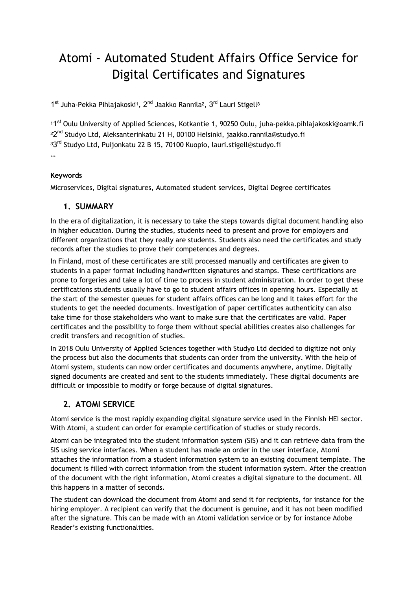# Atomi - Automated Student Affairs Office Service for Digital Certificates and Signatures

1<sup>st</sup> Juha-Pekka Pihlajakoski<sup>1</sup>, 2<sup>nd</sup> Jaakko Rannila<sup>2</sup>, 3<sup>rd</sup> Lauri Stigell<sup>3</sup>

11<sup>st</sup> Oulu University of Applied Sciences, Kotkantie 1, 90250 Oulu, juha-pekka.pihlajakoski@oamk.fi <sup>22nd</sup> Studyo Ltd, Aleksanterinkatu 21 H, 00100 Helsinki, jaakko.rannila@studyo.fi 33<sup>rd</sup> Studyo Ltd, Puijonkatu 22 B 15, 70100 Kuopio, lauri.stigell@studyo.fi …

### **Keywords**

Microservices, Digital signatures, Automated student services, Digital Degree certificates

### **1. SUMMARY**

In the era of digitalization, it is necessary to take the steps towards digital document handling also in higher education. During the studies, students need to present and prove for employers and different organizations that they really are students. Students also need the certificates and study records after the studies to prove their competences and degrees.

In Finland, most of these certificates are still processed manually and certificates are given to students in a paper format including handwritten signatures and stamps. These certifications are prone to forgeries and take a lot of time to process in student administration. In order to get these certifications students usually have to go to student affairs offices in opening hours. Especially at the start of the semester queues for student affairs offices can be long and it takes effort for the students to get the needed documents. Investigation of paper certificates authenticity can also take time for those stakeholders who want to make sure that the certificates are valid. Paper certificates and the possibility to forge them without special abilities creates also challenges for credit transfers and recognition of studies.

In 2018 Oulu University of Applied Sciences together with Studyo Ltd decided to digitize not only the process but also the documents that students can order from the university. With the help of Atomi system, students can now order certificates and documents anywhere, anytime. Digitally signed documents are created and sent to the students immediately. These digital documents are difficult or impossible to modify or forge because of digital signatures.

## **2. ATOMI SERVICE**

Atomi service is the most rapidly expanding digital signature service used in the Finnish HEI sector. With Atomi, a student can order for example certification of studies or study records.

Atomi can be integrated into the student information system (SIS) and it can retrieve data from the SIS using service interfaces. When a student has made an order in the user interface, Atomi attaches the information from a student information system to an existing document template. The document is filled with correct information from the student information system. After the creation of the document with the right information, Atomi creates a digital signature to the document. All this happens in a matter of seconds.

The student can download the document from Atomi and send it for recipients, for instance for the hiring employer. A recipient can verify that the document is genuine, and it has not been modified after the signature. This can be made with an Atomi validation service or by for instance Adobe Reader's existing functionalities.